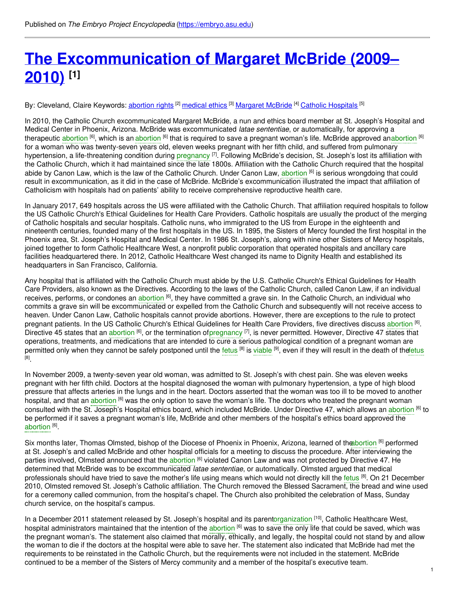# **The [Excommunication](https://embryo.asu.edu/pages/excommunication-margaret-mcbride-2009-2010) of Margaret McBride (2009– 2010) [1]**

By: Cleveland, Claire Keywords: <u>[abortion](https://embryo.asu.edu/keywords/abortion-rights) rights</u> <sup>[2]</sup> [medical](https://embryo.asu.edu/keywords/medical-ethics) ethics <sup>[3]</sup> [Margaret](https://embryo.asu.edu/keywords/margaret-mcbride) McBride <sup>[4]</sup> Catholic [Hospitals](https://embryo.asu.edu/keywords/catholic-hospitals) <sup>[5]</sup>

In 2010, the Catholic Church excommunicated Margaret McBride, a nun and ethics board member at St. Joseph's Hospital and Medical Center in Phoenix, Arizona. McBride was excommunicated *latae sententiae*, or automatically, for approving a therapeutic [abortion](https://embryo.asu.edu/search?text=abortion) <sup>[6]</sup>, which is an abortion <sup>[6]</sup> that is required to save a pregnant woman's life. McBride approved anabortion <sup>[6]</sup> for a woman who was twenty-seven years old, eleven weeks pregnant with her fifth child, and suffered from pulmonary hypertension, a life-threatening condition during [pregnancy](https://embryo.asu.edu/search?text=pregnancy) <sup>[7]</sup>. Following McBride's decision, St. Joseph's lost its affiliation with the Catholic Church, which it had maintained since the late 1800s. Affiliation with the Catholic Church required that the hospital abide by Canon Law, which is the law of the Catholic Church. Under Canon Law, [abortion](https://embryo.asu.edu/search?text=abortion) <sup>[6]</sup> is serious wrongdoing that could result in excommunication, as it did in the case of McBride. McBride's excommunication illustrated the impact that affiliation of Catholicism with hospitals had on patients' ability to receive comprehensive reproductive health care.

In January 2017, 649 hospitals across the US were affiliated with the Catholic Church. That affiliation required hospitals to follow the US Catholic Church's Ethical Guidelines for Health Care Providers. Catholic hospitals are usually the product of the merging of Catholic hospitals and secular hospitals. Catholic nuns, who immigrated to the US from Europe in the eighteenth and nineteenth centuries, founded many of the first hospitals in the US. In 1895, the Sisters of Mercy founded the first hospital in the Phoenix area, St. Joseph's Hospital and Medical Center. In 1986 St. Joseph's, along with nine other Sisters of Mercy hospitals, joined together to form Catholic Healthcare West, a nonprofit public corporation that operated hospitals and ancillary care facilities headquartered there. In 2012, Catholic Healthcare West changed its name to Dignity Health and established its headquarters in San Francisco, California.

Any hospital that is affiliated with the Catholic Church must abide by the U.S. Catholic Church's Ethical Guidelines for Health Care Providers, also known as the Directives. According to the laws of the Catholic Church, called Canon Law, if an individual receives, performs, or condones an [abortion](https://embryo.asu.edu/search?text=abortion) <sup>[6]</sup>, they have committed a grave sin. In the Catholic Church, an individual who commits a grave sin will be excommunicated or expelled from the Catholic Church and subsequently will not receive access to heaven. Under Canon Law, Catholic hospitals cannot provide abortions. However, there are exceptions to the rule to protect pregnant patients. In the US Catholic Church's Ethical Guidelines for Health Care Providers, five directives discuss [abortion](https://embryo.asu.edu/search?text=abortion) <sup>[6]</sup>. Directive 45 states that an [abortion](https://embryo.asu.edu/search?text=abortion) <sup>[6]</sup>, or the termination o[fpregnancy](https://embryo.asu.edu/search?text=pregnancy) <sup>[7]</sup>, is never permitted. However, Directive 47 states that operations, treatments, and medications that are intended to cure a serious pathological condition of a pregnant woman are permitted only when they cannot be safely postponed until the [fetus](https://embryo.asu.edu/search?text=fetus) <sup>[8]</sup> is [viable](https://embryo.asu.edu/search?text=viable) <sup>[9]</sup>, even if they will result in the death of the ettus [8] .

In November 2009, a twenty-seven year old woman, was admitted to St. Joseph's with chest pain. She was eleven weeks pregnant with her fifth child. Doctors at the hospital diagnosed the woman with pulmonary hypertension, a type of high blood pressure that affects arteries in the lungs and in the heart. Doctors asserted that the woman was too ill to be moved to another hospital, and that an [abortion](https://embryo.asu.edu/search?text=abortion) <sup>[6]</sup> was the only option to save the woman's life. The doctors who treated the pregnant woman consulted with the St. Joseph's Hospital ethics board, which included McBride. Under Directive 47, which allows an [abortion](https://embryo.asu.edu/search?text=abortion) <sup>[6]</sup> to be performed if it saves a pregnant woman's life, McBride and other members of the hospital's ethics board approved the [abortion](https://embryo.asu.edu/search?text=abortion)<sup>[6]</sup>.

Six months later, Thomas Olmsted, bishop of the Diocese of Phoenix in Phoenix, Arizona, learned of the bortion <sup>[6]</sup> performed at St. Joseph's and called McBride and other hospital officials for a meeting to discuss the procedure. After interviewing the parties involved, Olmsted announced that the [abortion](https://embryo.asu.edu/search?text=abortion) <sup>[6]</sup> violated Canon Law and was not protected by Directive 47. He determined that McBride was to be excommunicated *latae sententiae*, or automatically. Olmsted argued that medical professionals should have tried to save the mother's life using means which would not directly kill the [fetus](https://embryo.asu.edu/search?text=fetus) <sup>[8]</sup>. On 21 December 2010, Olmsted removed St. Joseph's Catholic affiliation. The Church removed the Blessed Sacrament, the bread and wine used for a ceremony called communion, from the hospital's chapel. The Church also prohibited the celebration of Mass, Sunday church service, on the hospital's campus.

In a December 2011 statement released by St. Joseph's hospital and its paren[torganization](https://embryo.asu.edu/search?text=organization) [10], Catholic Healthcare West, hospital administrators maintained that the intention of the [abortion](https://embryo.asu.edu/search?text=abortion) <sup>[6]</sup> was to save the only life that could be saved, which was the pregnant woman's. The statement also claimed that morally, ethically, and legally, the hospital could not stand by and allow the woman to die if the doctors at the hospital were able to save her. The statement also indicated that McBride had met the requirements to be reinstated in the Catholic Church, but the requirements were not included in the statement. McBride continued to be a member of the Sisters of Mercy community and a member of the hospital's executive team.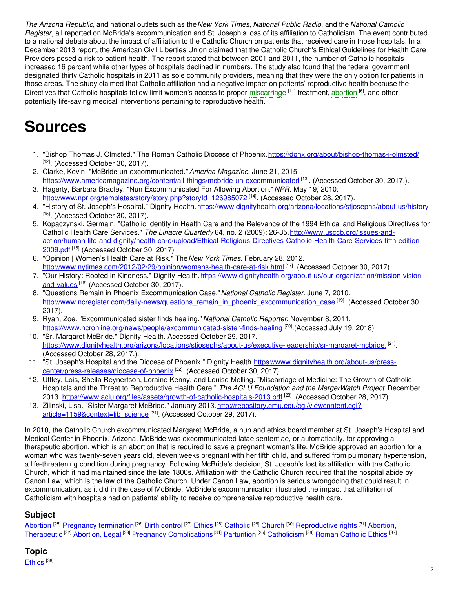*The Arizona Republic*, and national outlets such as the*New York Times*, *National Public Radio*, and the *National Catholic Register*, all reported on McBride's excommunication and St. Joseph's loss of its affiliation to Catholicism. The event contributed to a national debate about the impact of affiliation to the Catholic Church on patients that received care in those hospitals. In a December 2013 report, the American Civil Liberties Union claimed that the Catholic Church's Ethical Guidelines for Health Care Providers posed a risk to patient health. The report stated that between 2001 and 2011, the number of Catholic hospitals increased 16 percent while other types of hospitals declined in numbers. The study also found that the federal government designated thirty Catholic hospitals in 2011 as sole community providers, meaning that they were the only option for patients in those areas. The study claimed that Catholic affiliation had a negative impact on patients' reproductive health because the Directives that Catholic hospitals follow limit women's access to proper [miscarriage](https://embryo.asu.edu/search?text=miscarriage) <sup>[11]</sup> treatment, [abortion](https://embryo.asu.edu/search?text=abortion) <sup>[6]</sup>, and other potentially life-saving medical interventions pertaining to reproductive health.

# **Sources**

- 1. "Bishop Thomas J. Olmsted." The Roman Catholic Diocese of Phoenix.<https://dphx.org/about/bishop-thomas-j-olmsted/> <sup>[12]</sup>. (Accessed October 30, 2017).
- 2. Clarke, Kevin. "McBride un-excommunicated."*America Magazine*. June 21, 2015. <https://www.americamagazine.org/content/all-things/mcbride-un-excommunicated> [13]. (Accessed October 30, 2017.).
- 3. Hagerty, Barbara Bradley. "Nun Excommunicated For Allowing Abortion." *NPR*. May 19, 2010. <http://www.npr.org/templates/story/story.php?storyId=126985072> [14]. (Accessed October 28, 2017).
- 4. "History of St. Joseph's Hospital." Dignity Health.<https://www.dignityhealth.org/arizona/locations/stjosephs/about-us/history> <sup>[15]</sup>. (Accessed October 30, 2017).
- 5. Kopaczynski, Germain. "Catholic Identity in Health Care and the Relevance of the 1994 Ethical and Religious Directives for Catholic Health Care Services." The Linacre Quarterly 64, no. 2 (2009): 26-35. http://www.usccb.org/issues-and[action/human-life-and-dignity/health-care/upload/Ethical-Religious-Directives-Catholic-Health-Care-Services-fifth-edition-](http://www.usccb.org/issues-and-action/human-life-and-dignity/health-care/upload/Ethical-Religious-Directives-Catholic-Health-Care-Services-fifth-edition-2009.pdf)2009.pdf<sup>[16]</sup> (Accessed October 30, 2017)
- 6. "Opinion | Women's Health Care at Risk." The*New York Times*. February 28, 2012. <http://www.nytimes.com/2012/02/29/opinion/womens-health-care-at-risk.html> [17]. (Accessed October 30, 2017).
- 7. "Our History: Rooted in Kindness." Dignity [Health.https://www.dignityhealth.org/about-us/our-organization/mission-vision](https://www.dignityhealth.org/about-us/our-organization/mission-vision-and-values.)and-values<sup>[18]</sup> (Accessed October 30, 2017).
- 8. "Questions Remain in Phoenix Excommunication Case."*National Catholic Register*. June 7, 2010. [http://www.ncregister.com/daily-news/questions\\_remain\\_in\\_phoenix\\_excommunication\\_case](http://www.ncregister.com/daily-news/questions_remain_in_phoenix_excommunication_case)<sup>[19]</sup>. (Accessed October 30, 2017).
- 9. Ryan, Zoe. "Excommunicated sister finds healing."*National Catholic Reporter*. November 8, 2011. <https://www.ncronline.org/news/people/excommunicated-sister-finds-healing> [20].(Accessed July 19, 2018)
- 10. "Sr. Margaret McBride." Dignity Health. Accessed October 29, 2017. [https://www.dignityhealth.org/arizona/locations/stjosephs/about-us/executive-leadership/sr-margaret-mcbride.](https://www.dignityhealth.org/arizona/locations/stjosephs/about-us/executive-leadership/sr-margaret-mcbride)<sup>[21]</sup>. (Accessed October 28, 2017.).
- 11. "St. Joseph's Hospital and the Diocese of Phoenix." Dignity [Health.https://www.dignityhealth.org/about-us/press](https://www.dignityhealth.org/about-us/press-center/press-releases/diocese-of-phoenix)center/press-releases/diocese-of-phoenix<sup>[22]</sup>. (Accessed October 30, 2017).
- 12. Uttley, Lois, Sheila Reynertson, Loraine Kenny, and Louise Melling. "Miscarriage of Medicine: The Growth of Catholic Hospitals and the Threat to Reproductive Health Care." *The ACLU Foundation and the MergerWatch Project*. December 2013. <https://www.aclu.org/files/assets/growth-of-catholic-hospitals-2013.pdf> <sup>[23]</sup>. (Accessed October 28, 2017)
- 13. Zilinski, Lisa. "Sister Margaret McBride." January 2013. [http://repository.cmu.edu/cgi/viewcontent.cgi?](http://repository.cmu.edu/cgi/viewcontent.cgi?article=1159&context=lib_science) article=1159&context=lib\_science<sup>[24]</sup>. (Accessed October 29, 2017).

In 2010, the Catholic Church excommunicated Margaret McBride, a nun and ethics board member at St. Joseph's Hospital and Medical Center in Phoenix, Arizona. McBride was excommunicated latae sententiae, or automatically, for approving a therapeutic abortion, which is an abortion that is required to save a pregnant woman's life. McBride approved an abortion for a woman who was twenty-seven years old, eleven weeks pregnant with her fifth child, and suffered from pulmonary hypertension, a life-threatening condition during pregnancy. Following McBride's decision, St. Joseph's lost its affiliation with the Catholic Church, which it had maintained since the late 1800s. Affiliation with the Catholic Church required that the hospital abide by Canon Law, which is the law of the Catholic Church. Under Canon Law, abortion is serious wrongdoing that could result in excommunication, as it did in the case of McBride. McBride's excommunication illustrated the impact that affiliation of Catholicism with hospitals had on patients' ability to receive comprehensive reproductive health care.

### **Subject**

[Abortion](https://embryo.asu.edu/library-congress-subject-headings/abortion) <sup>[25]</sup> Pregnancy [termination](https://embryo.asu.edu/library-congress-subject-headings/pregnancy-termination) <sup>[26]</sup> Birth [control](https://embryo.asu.edu/library-congress-subject-headings/birth-control) <sup>[27]</sup> [Ethics](https://embryo.asu.edu/library-congress-subject-headings/ethics) <sup>[28]</sup> [Catholic](https://embryo.asu.edu/library-congress-subject-headings/catholic) <sup>[29]</sup> [Church](https://embryo.asu.edu/library-congress-subject-headings/church) <sup>[30]</sup> [Reproductive](https://embryo.asu.edu/medical-subject-headings/abortion-therapeutic) rights <sup>[31]</sup> Abortion, Therapeutic <sup>[32]</sup> [Abortion,](https://embryo.asu.edu/medical-subject-headings/abortion-legal) Legal <sup>[33]</sup> Pregnancy [Complications](https://embryo.asu.edu/medical-subject-headings/pregnancy-complications) <sup>[34]</sup> [Parturition](https://embryo.asu.edu/medical-subject-headings/parturition) <sup>[35]</sup> [Catholicism](https://embryo.asu.edu/medical-subject-headings/catholicism) <sup>[36]</sup> Roman [Catholic](https://embryo.asu.edu/medical-subject-headings/roman-catholic-ethics) Ethics <sup>[37]</sup>

## **Topic**

<u>[Ethics](https://embryo.asu.edu/topics/ethics)</u> [<sup>38]</sup>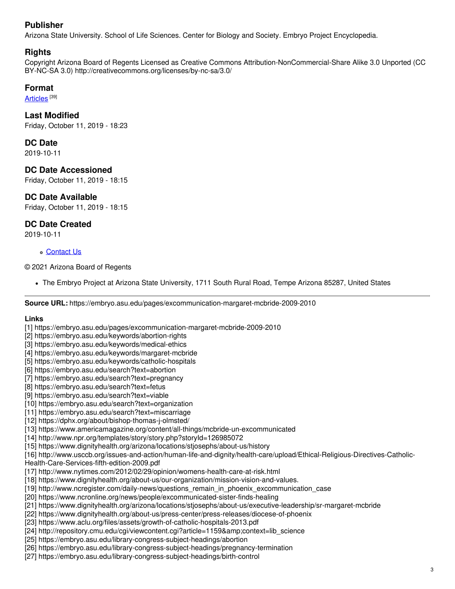### **Publisher**

Arizona State University. School of Life Sciences. Center for Biology and Society. Embryo Project Encyclopedia.

#### **Rights**

Copyright Arizona Board of Regents Licensed as Creative Commons Attribution-NonCommercial-Share Alike 3.0 Unported (CC BY-NC-SA 3.0) http://creativecommons.org/licenses/by-nc-sa/3.0/

#### **Format**

<u>[Articles](https://embryo.asu.edu/formats/articles)</u> [<sup>39]</sup>

#### **Last Modified**

Friday, October 11, 2019 - 18:23

#### **DC Date**

2019-10-11

#### **DC Date Accessioned**

Friday, October 11, 2019 - 18:15

#### **DC Date Available**

Friday, October 11, 2019 - 18:15

#### **DC Date Created**

2019-10-11

#### [Contact](https://embryo.asu.edu/contact) Us

© 2021 Arizona Board of Regents

The Embryo Project at Arizona State University, 1711 South Rural Road, Tempe Arizona 85287, United States

**Source URL:** https://embryo.asu.edu/pages/excommunication-margaret-mcbride-2009-2010

#### **Links**

[1] https://embryo.asu.edu/pages/excommunication-margaret-mcbride-2009-2010

- [2] https://embryo.asu.edu/keywords/abortion-rights
- [3] https://embryo.asu.edu/keywords/medical-ethics
- [4] https://embryo.asu.edu/keywords/margaret-mcbride
- [5] https://embryo.asu.edu/keywords/catholic-hospitals
- [6] https://embryo.asu.edu/search?text=abortion
- [7] https://embryo.asu.edu/search?text=pregnancy
- [8] https://embryo.asu.edu/search?text=fetus
- [9] https://embryo.asu.edu/search?text=viable
- [10] https://embryo.asu.edu/search?text=organization
- [11] https://embryo.asu.edu/search?text=miscarriage
- [12] https://dphx.org/about/bishop-thomas-j-olmsted/
- [13] https://www.americamagazine.org/content/all-things/mcbride-un-excommunicated
- [14] http://www.npr.org/templates/story/story.php?storyId=126985072
- [15] https://www.dignityhealth.org/arizona/locations/stjosephs/about-us/history
- [16] http://www.usccb.org/issues-and-action/human-life-and-dignity/health-care/upload/Ethical-Religious-Directives-Catholic-
- Health-Care-Services-fifth-edition-2009.pdf
- [17] http://www.nytimes.com/2012/02/29/opinion/womens-health-care-at-risk.html
- [18] https://www.dignityhealth.org/about-us/our-organization/mission-vision-and-values.
- [19] http://www.ncregister.com/daily-news/questions\_remain\_in\_phoenix\_excommunication\_case
- [20] https://www.ncronline.org/news/people/excommunicated-sister-finds-healing
- [21] https://www.dignityhealth.org/arizona/locations/stjosephs/about-us/executive-leadership/sr-margaret-mcbride
- [22] https://www.dignityhealth.org/about-us/press-center/press-releases/diocese-of-phoenix
- [23] https://www.aclu.org/files/assets/growth-of-catholic-hospitals-2013.pdf
- [24] http://repository.cmu.edu/cgi/viewcontent.cgi?article=1159&context=lib\_science
- [25] https://embryo.asu.edu/library-congress-subject-headings/abortion
- [26] https://embryo.asu.edu/library-congress-subject-headings/pregnancy-termination
- [27] https://embryo.asu.edu/library-congress-subject-headings/birth-control